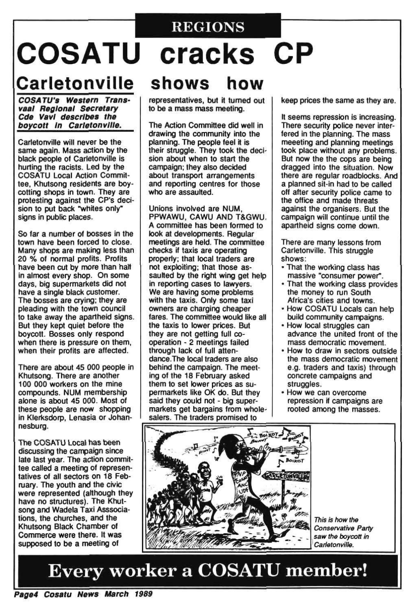# REGIONS **COSATU cracks CP**

# Carletonville shows how

**COSATU's Western Transvaal Regional Secretary Cde Vavl describes the boycott in Carletonville.** 

Carletonville will never be the same again. Mass action by the black people of Carletonville is hurting the racists. Led by the COSATU Local Action Committee, Khutsong residents are boycotting shops in town. They are protesting against the CP's decision to put back "whites only" signs in public places.

So far a number of bosses in the town have been forced to close. Many shops are making less than 20 % of normal profits. Profits have been cut by more than half in almost every shop. On some days, big supermarkets did not have a single black customer. The bosses are crying; they are pleading with the town council to take away the apartheid signs. But they kept quiet before the boycott. Bosses only respond when there is pressure on them, when their profits are affected.

Unions involved are NUM. PPWAWU, CAWU AND T&GWU. A committee has been formed to look at developments. Regular meetings are held. The committee checks if taxis are operating properly; that local traders are not exploiting; that those assaulted by the right wing get help in reporting cases to lawyers. We are having some problems with the taxis. Only some taxi owners are charging cheaper fares. The committee would like all the taxis to lower prices. But they are not getting full cooperation - 2 meetings failed through lack of full attendance.The local traders are also behind the campaign. The meeting of the 18 February asked them to set lower prices as suthem to set lower prices as supermarkets like OK do. But they said they could not - big supermarkets get bargains from whole-<br>salers. The traders promised to

There are about 45 000 people in Khutsong. There are another 100 000 workers on the mine compounds. NUM membership alone is about 45 000. Most of these people are now shopping in Klerksdorp, Lenasia or Johannesburg.

The COSATU Local has been discussing the campaign since late last year. The action committee called a meeting of representatives of all sectors on 18 February. The youth and the civic were represented (although they have no structures). The Khutsong and Wadela Taxi Associations, the churches, and the Khutsong Black Chamber of Commerce were there. It was supposed to be a meeting of



representatives, but it turned out to be a mass mass meeting.

The Action Committee did well in drawing the community into the planning. The people feel it is their struggle. They took the decision about when to start the campaign; they also decided about transport arrangements and reporting centres for those who are assaulted.

keep prices the same as they are.

It seems repression is increasing. There security police never interfered in the planning. The mass meeeting and planning meetings took place without any problems. But now the the cops are being dragged into the situation. Now there are regular roadblocks. And a planned sit-in had to be called off after security police came to the office and made threats against the organisers. But the campaign will continue until the apartheid signs come down.

There are many lessons from Carletonville. This struggle shows:

- That the working class has massive "consumer power".
- That the working class provides the money to run South Africa's cities and towns.
- How COSATU Locals can help build community campaigns.
- How local struggles can advance the united front of the mass democratic movement.
- How to draw in sectors outside the mass democratic movement e.g. traders and taxis) through concrete campaigns and struggles. • How we can overcome repression if campaigns are rooted among the masses.

This is how the Conservative Party saw the boycott in Carletonville.

# Every worker a COSATU member!

**Page4 Cosatu News March 1989**